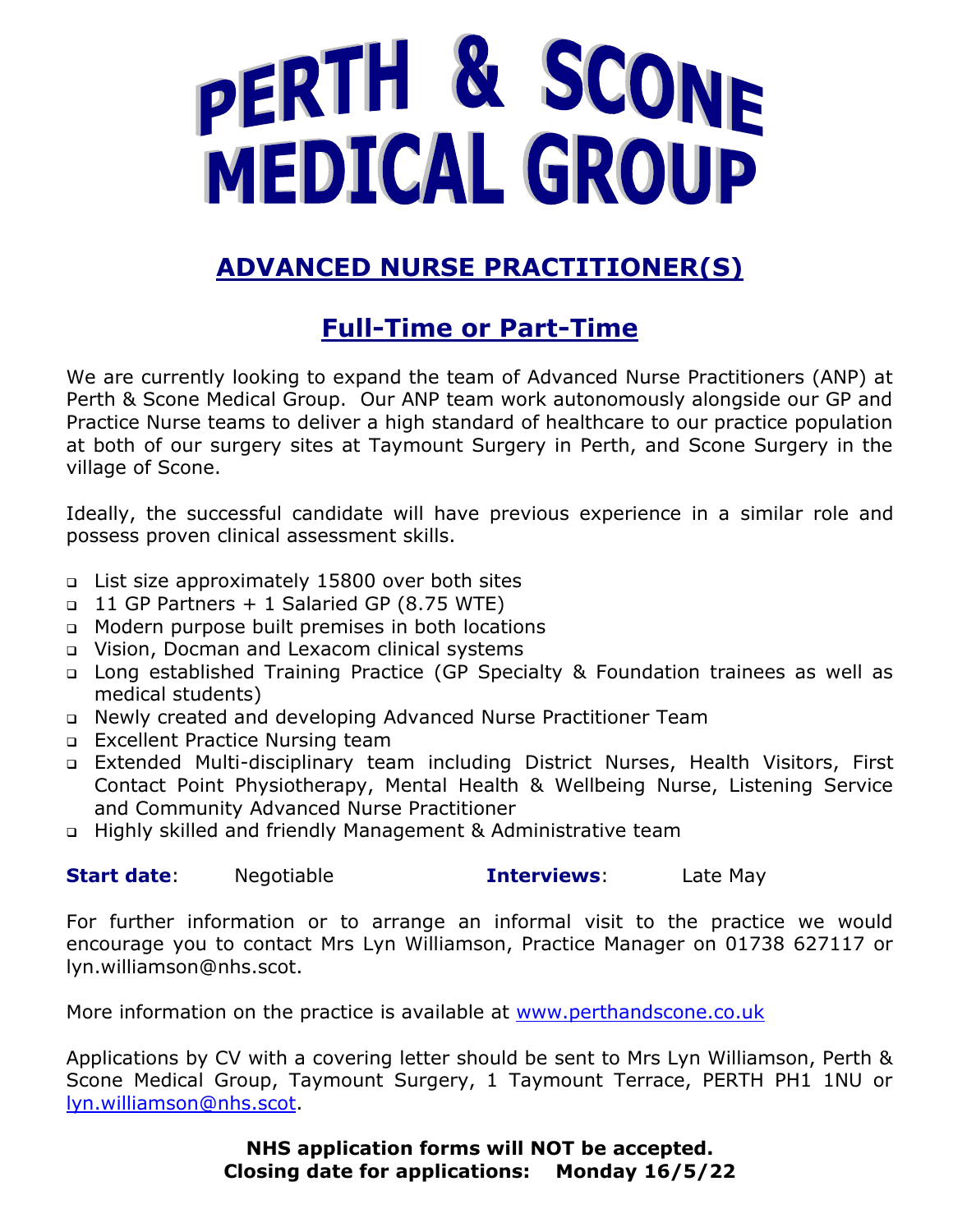# PERTH & SCONE MEDICAL GROUP

# **ADVANCED NURSE PRACTITIONER(S)**

## **Full-Time or Part-Time**

We are currently looking to expand the team of Advanced Nurse Practitioners (ANP) at Perth & Scone Medical Group. Our ANP team work autonomously alongside our GP and Practice Nurse teams to deliver a high standard of healthcare to our practice population at both of our surgery sites at Taymount Surgery in Perth, and Scone Surgery in the village of Scone.

Ideally, the successful candidate will have previous experience in a similar role and possess proven clinical assessment skills.

- ❑ List size approximately 15800 over both sites
- ❑ 11 GP Partners + 1 Salaried GP (8.75 WTE)
- ❑ Modern purpose built premises in both locations
- ❑ Vision, Docman and Lexacom clinical systems
- ❑ Long established Training Practice (GP Specialty & Foundation trainees as well as medical students)
- ❑ Newly created and developing Advanced Nurse Practitioner Team
- ❑ Excellent Practice Nursing team
- ❑ Extended Multi-disciplinary team including District Nurses, Health Visitors, First Contact Point Physiotherapy, Mental Health & Wellbeing Nurse, Listening Service and Community Advanced Nurse Practitioner
- ❑ Highly skilled and friendly Management & Administrative team

| <b>Start date:</b> | Negotiable | <b>Interviews:</b> | Late May |
|--------------------|------------|--------------------|----------|
|--------------------|------------|--------------------|----------|

For further information or to arrange an informal visit to the practice we would encourage you to contact Mrs Lyn Williamson, Practice Manager on 01738 627117 or lyn.williamson@nhs.scot.

More information on the practice is available at [www.perthandscone.co.uk](http://www.perthandscone.co.uk/)

Applications by CV with a covering letter should be sent to Mrs Lyn Williamson, Perth & Scone Medical Group, Taymount Surgery, 1 Taymount Terrace, PERTH PH1 1NU or [lyn.williamson@nhs.scot.](mailto:lyn.williamson@nhs.scot)

> **NHS application forms will NOT be accepted. Closing date for applications: Monday 16/5/22**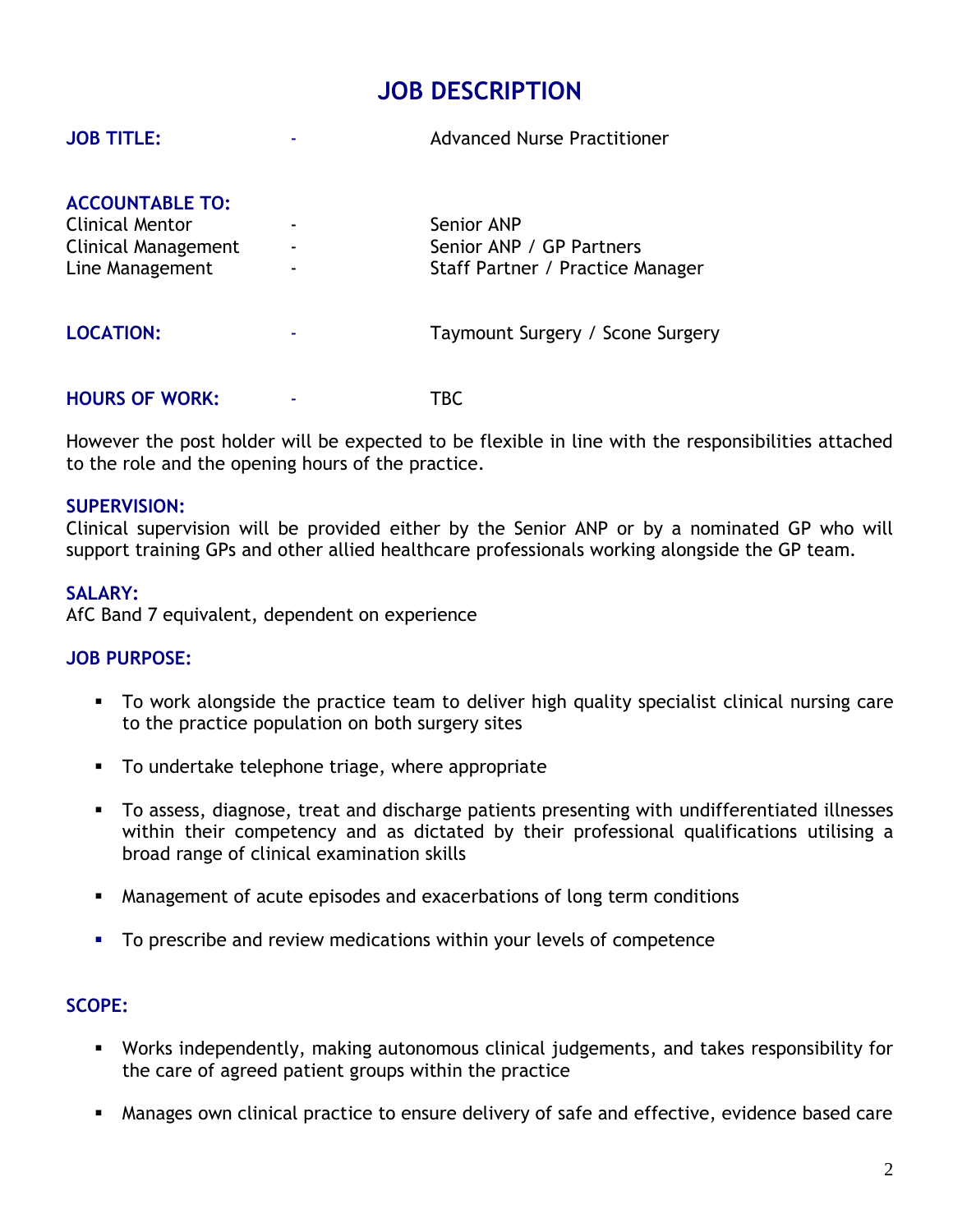## **JOB DESCRIPTION**

| <b>ACCOUNTABLE TO:</b><br><b>Clinical Mentor</b><br>Clinical Management<br>Line Management | Senior ANP<br>Senior ANP / GP Partners<br>Staff Partner / Practice Manager |
|--------------------------------------------------------------------------------------------|----------------------------------------------------------------------------|
| <b>LOCATION:</b>                                                                           | Taymount Surgery / Scone Surgery                                           |
| <b>HOURS OF WORK:</b>                                                                      | TBC.                                                                       |

**JOB TITLE:** The Company of the Advanced Nurse Practitioner

However the post holder will be expected to be flexible in line with the responsibilities attached to the role and the opening hours of the practice.

#### **SUPERVISION:**

Clinical supervision will be provided either by the Senior ANP or by a nominated GP who will support training GPs and other allied healthcare professionals working alongside the GP team.

#### **SALARY:**

AfC Band 7 equivalent, dependent on experience

#### **JOB PURPOSE:**

- To work alongside the practice team to deliver high quality specialist clinical nursing care to the practice population on both surgery sites
- To undertake telephone triage, where appropriate
- To assess, diagnose, treat and discharge patients presenting with undifferentiated illnesses within their competency and as dictated by their professional qualifications utilising a broad range of clinical examination skills
- Management of acute episodes and exacerbations of long term conditions
- **•** To prescribe and review medications within your levels of competence

#### **SCOPE:**

- Works independently, making autonomous clinical judgements, and takes responsibility for the care of agreed patient groups within the practice
- Manages own clinical practice to ensure delivery of safe and effective, evidence based care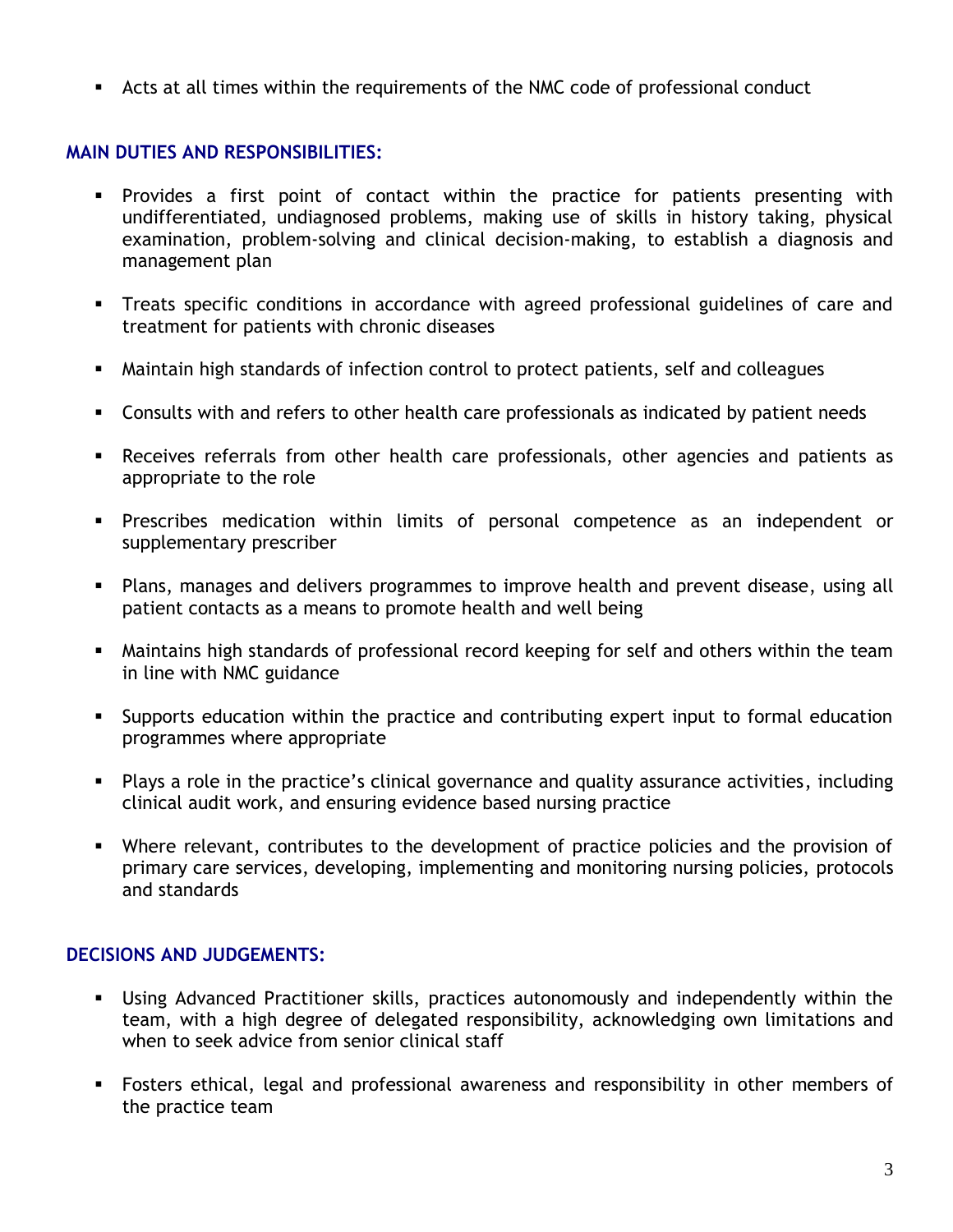■ Acts at all times within the requirements of the NMC code of professional conduct

#### **MAIN DUTIES AND RESPONSIBILITIES:**

- **•** Provides a first point of contact within the practice for patients presenting with undifferentiated, undiagnosed problems, making use of skills in history taking, physical examination, problem-solving and clinical decision-making, to establish a diagnosis and management plan
- **•** Treats specific conditions in accordance with agreed professional guidelines of care and treatment for patients with chronic diseases
- Maintain high standards of infection control to protect patients, self and colleagues
- Consults with and refers to other health care professionals as indicated by patient needs
- **EXEC** Receives referrals from other health care professionals, other agencies and patients as appropriate to the role
- Prescribes medication within limits of personal competence as an independent or supplementary prescriber
- Plans, manages and delivers programmes to improve health and prevent disease, using all patient contacts as a means to promote health and well being
- **■** Maintains high standards of professional record keeping for self and others within the team in line with NMC guidance
- **EXECT** Supports education within the practice and contributing expert input to formal education programmes where appropriate
- Plays a role in the practice's clinical governance and quality assurance activities, including clinical audit work, and ensuring evidence based nursing practice
- **■** Where relevant, contributes to the development of practice policies and the provision of primary care services, developing, implementing and monitoring nursing policies, protocols and standards

#### **DECISIONS AND JUDGEMENTS:**

- Using Advanced Practitioner skills, practices autonomously and independently within the team, with a high degree of delegated responsibility, acknowledging own limitations and when to seek advice from senior clinical staff
- Fosters ethical, legal and professional awareness and responsibility in other members of the practice team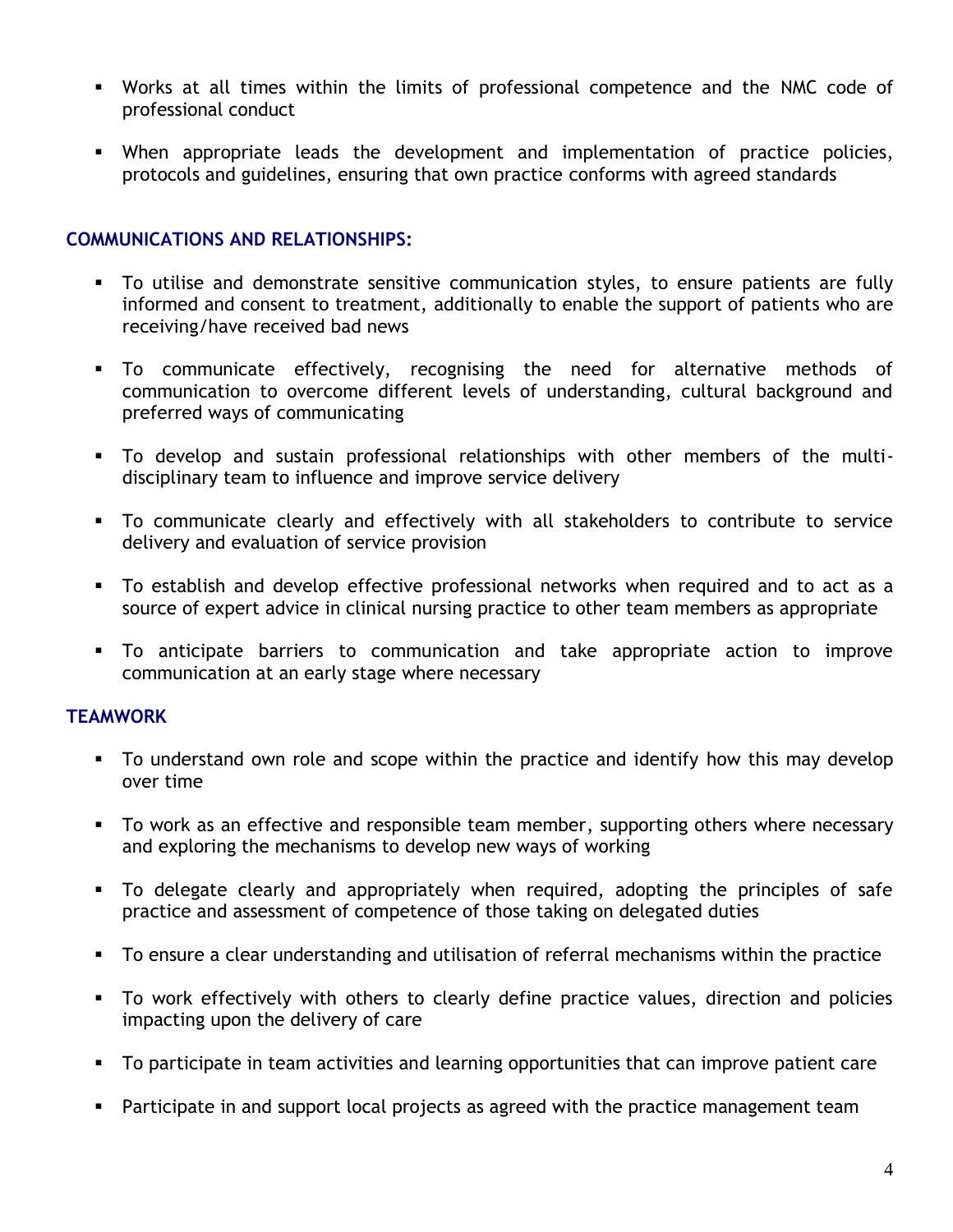- Works at all times within the limits of professional competence and the NMC code of professional conduct
- When appropriate leads the development and implementation of practice policies, protocols and guidelines, ensuring that own practice conforms with agreed standards

#### **COMMUNICATIONS AND RELATIONSHIPS:**

- To utilise and demonstrate sensitive communication styles, to ensure patients are fully informed and consent to treatment, additionally to enable the support of patients who are receiving/have received bad news
- To communicate effectively, recognising the need for alternative methods of communication to overcome different levels of understanding, cultural background and preferred ways of communicating
- To develop and sustain professional relationships with other members of the multidisciplinary team to influence and improve service delivery
- To communicate clearly and effectively with all stakeholders to contribute to service delivery and evaluation of service provision
- To establish and develop effective professional networks when required and to act as a source of expert advice in clinical nursing practice to other team members as appropriate
- To anticipate barriers to communication and take appropriate action to improve communication at an early stage where necessary

#### **TEAMWORK**

- To understand own role and scope within the practice and identify how this may develop over time
- **•** To work as an effective and responsible team member, supporting others where necessary and exploring the mechanisms to develop new ways of working
- To delegate clearly and appropriately when required, adopting the principles of safe practice and assessment of competence of those taking on delegated duties
- To ensure a clear understanding and utilisation of referral mechanisms within the practice
- To work effectively with others to clearly define practice values, direction and policies impacting upon the delivery of care
- To participate in team activities and learning opportunities that can improve patient care
- **•** Participate in and support local projects as agreed with the practice management team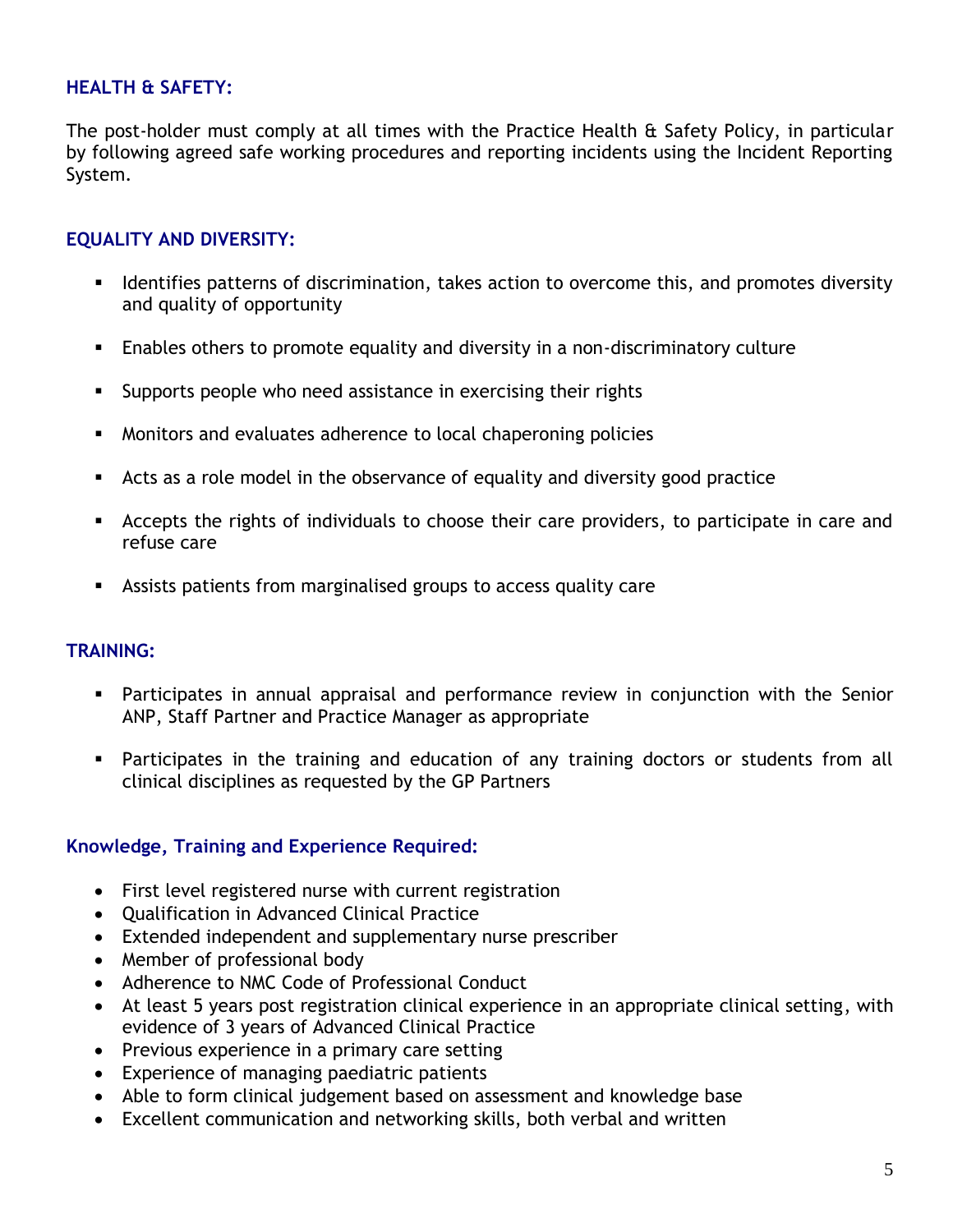#### **HEALTH & SAFETY:**

The post-holder must comply at all times with the Practice Health & Safety Policy, in particular by following agreed safe working procedures and reporting incidents using the Incident Reporting System.

#### **EQUALITY AND DIVERSITY:**

- **EXED** Identifies patterns of discrimination, takes action to overcome this, and promotes diversity and quality of opportunity
- **Enables others to promote equality and diversity in a non-discriminatory culture**
- Supports people who need assistance in exercising their rights
- Monitors and evaluates adherence to local chaperoning policies
- Acts as a role model in the observance of equality and diversity good practice
- **EXECT** Accepts the rights of individuals to choose their care providers, to participate in care and refuse care
- Assists patients from marginalised groups to access quality care

#### **TRAINING:**

- **•** Participates in annual appraisal and performance review in conjunction with the Senior ANP, Staff Partner and Practice Manager as appropriate
- Participates in the training and education of any training doctors or students from all clinical disciplines as requested by the GP Partners

#### **Knowledge, Training and Experience Required:**

- First level registered nurse with current registration
- Qualification in Advanced Clinical Practice
- Extended independent and supplementary nurse prescriber
- Member of professional body
- Adherence to NMC Code of Professional Conduct
- At least 5 years post registration clinical experience in an appropriate clinical setting, with evidence of 3 years of Advanced Clinical Practice
- Previous experience in a primary care setting
- Experience of managing paediatric patients
- Able to form clinical judgement based on assessment and knowledge base
- Excellent communication and networking skills, both verbal and written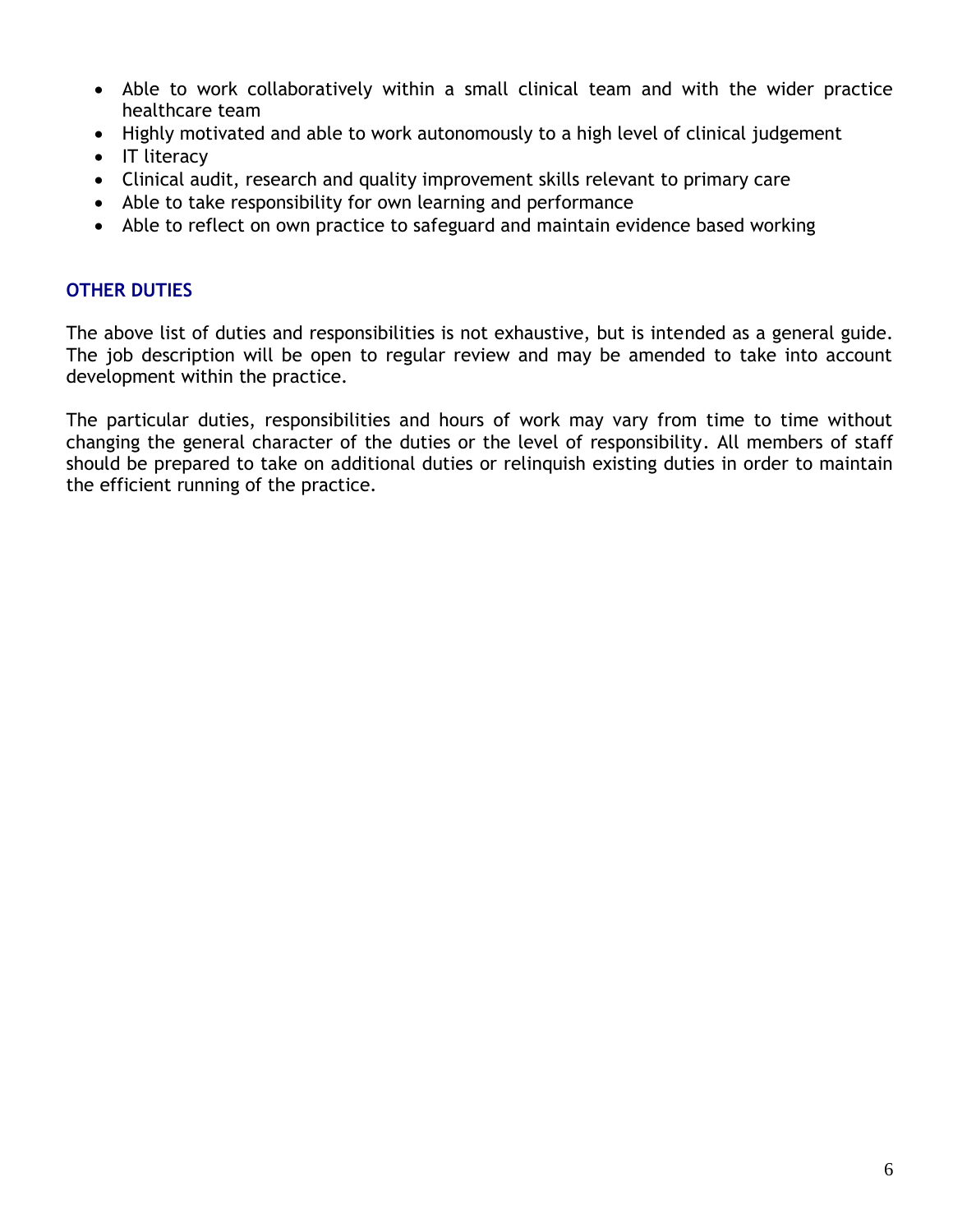- Able to work collaboratively within a small clinical team and with the wider practice healthcare team
- Highly motivated and able to work autonomously to a high level of clinical judgement
- IT literacy
- Clinical audit, research and quality improvement skills relevant to primary care
- Able to take responsibility for own learning and performance
- Able to reflect on own practice to safeguard and maintain evidence based working

#### **OTHER DUTIES**

The above list of duties and responsibilities is not exhaustive, but is intended as a general guide. The job description will be open to regular review and may be amended to take into account development within the practice.

The particular duties, responsibilities and hours of work may vary from time to time without changing the general character of the duties or the level of responsibility. All members of staff should be prepared to take on additional duties or relinquish existing duties in order to maintain the efficient running of the practice.